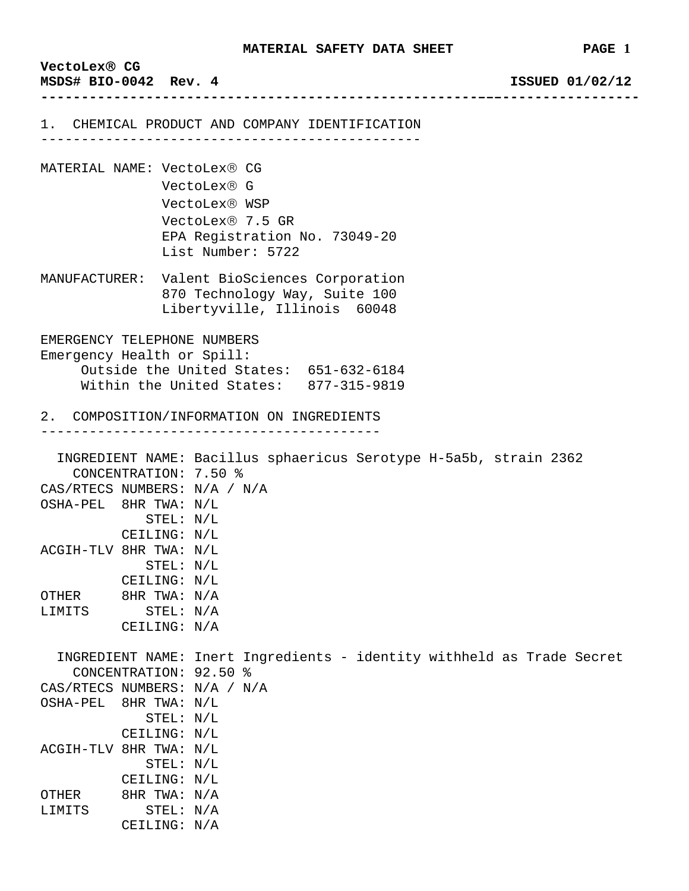| VectoLex® CG<br>MSDS# BIO-0042 Rev. 4                                                                                                          |                                                                        | MAIGRIAU SAFGII DAIA SAGGI                                                                                                            | rage i<br>ISSUED 01/02/12 |
|------------------------------------------------------------------------------------------------------------------------------------------------|------------------------------------------------------------------------|---------------------------------------------------------------------------------------------------------------------------------------|---------------------------|
|                                                                                                                                                |                                                                        |                                                                                                                                       |                           |
|                                                                                                                                                |                                                                        | 1. CHEMICAL PRODUCT AND COMPANY IDENTIFICATION<br>_______________________________                                                     |                           |
| MATERIAL NAME: VectoLex® CG                                                                                                                    |                                                                        | VectoLex® G<br>VectoLex® WSP<br>VectoLex® 7.5 GR<br>EPA Registration No. 73049-20<br>List Number: 5722                                |                           |
|                                                                                                                                                |                                                                        | MANUFACTURER: Valent BioSciences Corporation<br>870 Technology Way, Suite 100<br>Libertyville, Illinois 60048                         |                           |
| EMERGENCY TELEPHONE NUMBERS<br>Emergency Health or Spill:<br>Outside the United States: 651-632-6184<br>Within the United States: 877-315-9819 |                                                                        |                                                                                                                                       |                           |
| 2. COMPOSITION/INFORMATION ON INGREDIENTS                                                                                                      |                                                                        |                                                                                                                                       |                           |
| OSHA-PEL 8HR TWA: N/L                                                                                                                          | CONCENTRATION: 7.50 %<br>STEL: N/L<br>CEILING: N/L                     | ________________________________<br>INGREDIENT NAME: Bacillus sphaericus Serotype H-5a5b, strain 2362<br>CAS/RTECS NUMBERS: N/A / N/A |                           |
| ACGIH-TLV 8HR TWA: N/L<br>OTHER<br>LIMITS                                                                                                      | STEL: N/L<br>CEILING: N/L<br>8HR TWA: N/A<br>STEL: N/A<br>CEILING: N/A |                                                                                                                                       |                           |
| OSHA-PEL 8HR TWA: N/L<br>ACGIH-TLV 8HR TWA: N/L                                                                                                | CONCENTRATION: 92.50 %<br>STEL: N/L<br>CEILING: N/L<br>STEL: N/L       | INGREDIENT NAME: Inert Ingredients - identity withheld as Trade Secret<br>CAS/RTECS NUMBERS: N/A / N/A                                |                           |
| OTHER<br>LIMITS                                                                                                                                | CEILING: N/L<br>8HR TWA: N/A<br>STEL: N/A<br>CEILING: N/A              |                                                                                                                                       |                           |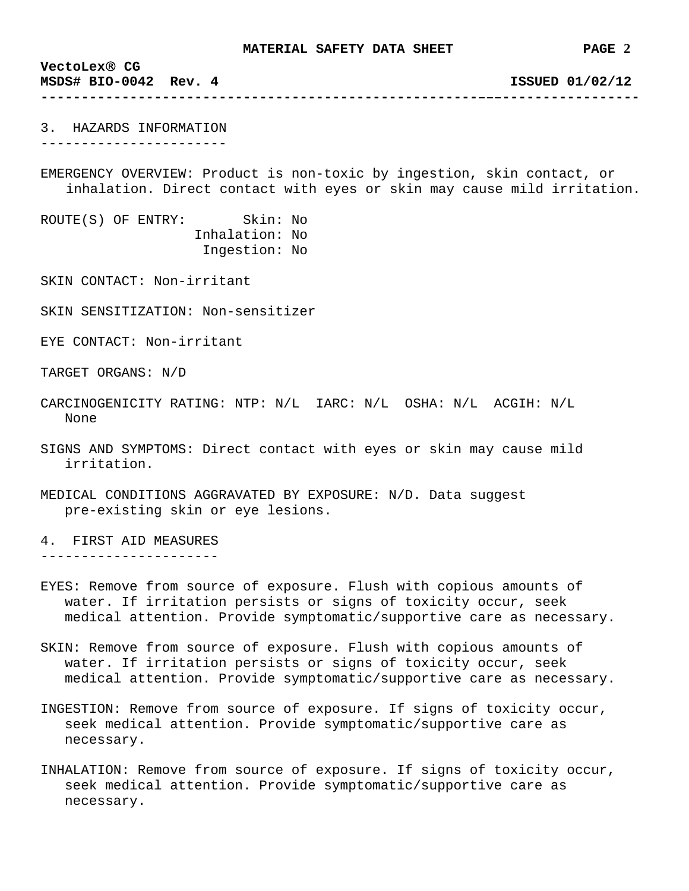**VectoLex**® **CG MSDS# BIO-0042 Rev. 4 ISSUED 01/02/12** 

3. HAZARDS INFORMATION -----------------------

EMERGENCY OVERVIEW: Product is non-toxic by ingestion, skin contact, or inhalation. Direct contact with eyes or skin may cause mild irritation.

**------------------------------------------------------–––-----------------**

ROUTE(S) OF ENTRY: Skin: No Inhalation: No Ingestion: No

SKIN CONTACT: Non-irritant

SKIN SENSITIZATION: Non-sensitizer

EYE CONTACT: Non-irritant

TARGET ORGANS: N/D

- CARCINOGENICITY RATING: NTP: N/L IARC: N/L OSHA: N/L ACGIH: N/L None
- SIGNS AND SYMPTOMS: Direct contact with eyes or skin may cause mild irritation.
- MEDICAL CONDITIONS AGGRAVATED BY EXPOSURE: N/D. Data suggest pre-existing skin or eye lesions.

4. FIRST AID MEASURES ----------------------

- EYES: Remove from source of exposure. Flush with copious amounts of water. If irritation persists or signs of toxicity occur, seek medical attention. Provide symptomatic/supportive care as necessary.
- SKIN: Remove from source of exposure. Flush with copious amounts of water. If irritation persists or signs of toxicity occur, seek medical attention. Provide symptomatic/supportive care as necessary.
- INGESTION: Remove from source of exposure. If signs of toxicity occur, seek medical attention. Provide symptomatic/supportive care as necessary.
- INHALATION: Remove from source of exposure. If signs of toxicity occur, seek medical attention. Provide symptomatic/supportive care as necessary.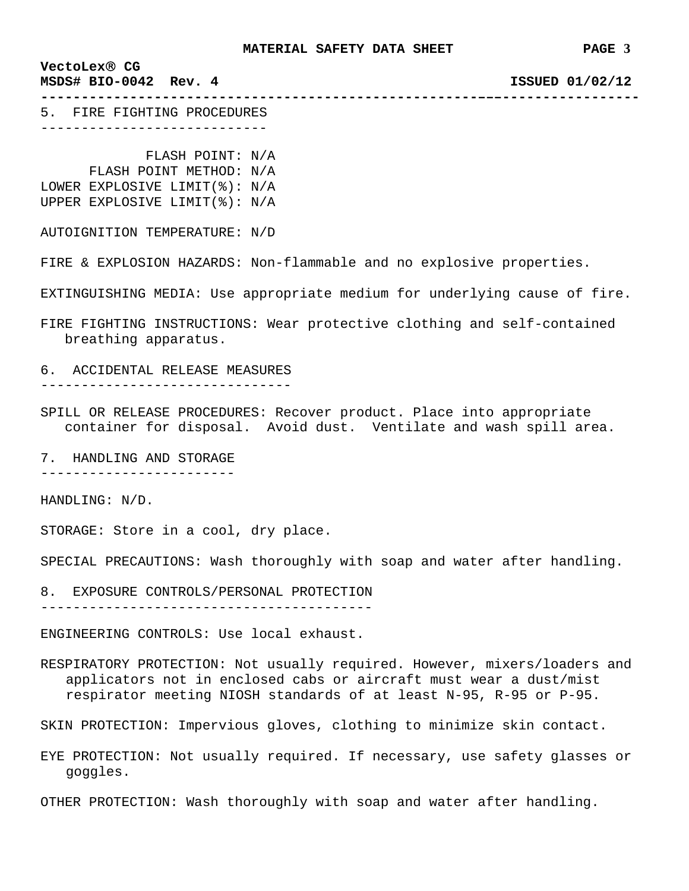**------------------------------------------------------–––-----------------**

## **VectoLex**® **CG**

**MSDS# BIO-0042 Rev. 4 ISSUED 01/02/12** 

5. FIRE FIGHTING PROCEDURES ----------------------------

 FLASH POINT: N/A FLASH POINT METHOD: N/A LOWER EXPLOSIVE LIMIT(%): N/A UPPER EXPLOSIVE LIMIT(%): N/A

AUTOIGNITION TEMPERATURE: N/D

FIRE & EXPLOSION HAZARDS: Non-flammable and no explosive properties.

EXTINGUISHING MEDIA: Use appropriate medium for underlying cause of fire.

FIRE FIGHTING INSTRUCTIONS: Wear protective clothing and self-contained breathing apparatus.

6. ACCIDENTAL RELEASE MEASURES

-------------------------------

SPILL OR RELEASE PROCEDURES: Recover product. Place into appropriate container for disposal. Avoid dust. Ventilate and wash spill area.

7. HANDLING AND STORAGE ------------------------

HANDLING: N/D.

STORAGE: Store in a cool, dry place.

SPECIAL PRECAUTIONS: Wash thoroughly with soap and water after handling.

8. EXPOSURE CONTROLS/PERSONAL PROTECTION

-----------------------------------------

ENGINEERING CONTROLS: Use local exhaust.

RESPIRATORY PROTECTION: Not usually required. However, mixers/loaders and applicators not in enclosed cabs or aircraft must wear a dust/mist respirator meeting NIOSH standards of at least N-95, R-95 or P-95.

SKIN PROTECTION: Impervious gloves, clothing to minimize skin contact.

EYE PROTECTION: Not usually required. If necessary, use safety glasses or goggles.

OTHER PROTECTION: Wash thoroughly with soap and water after handling.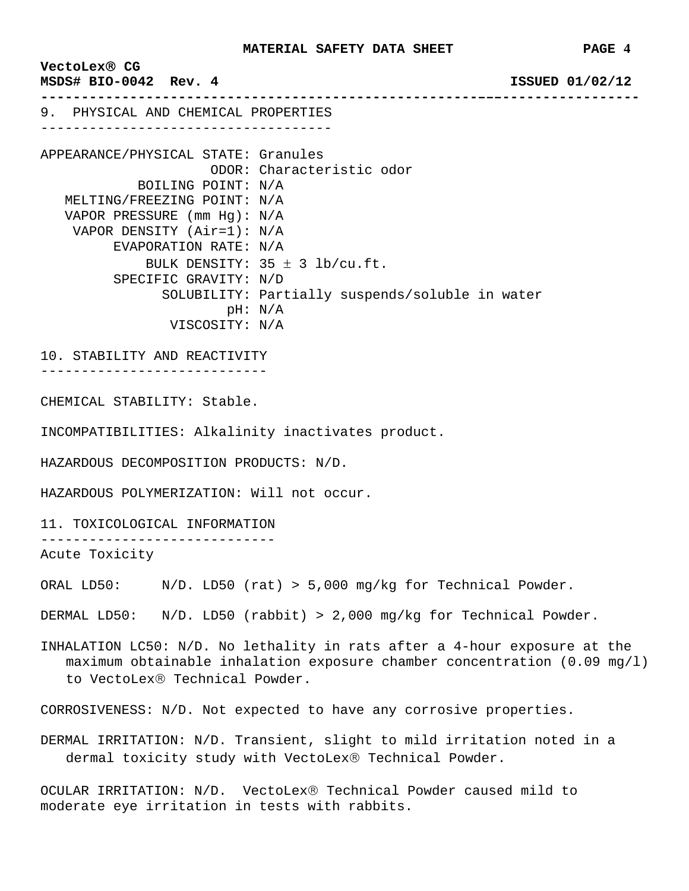**VectoLex**® **CG MSDS# BIO-0042 Rev. 4 ISSUED 01/02/12 ------------------------------------------------------–––-----------------** 9. PHYSICAL AND CHEMICAL PROPERTIES ------------------------------------ APPEARANCE/PHYSICAL STATE: Granules ODOR: Characteristic odor BOILING POINT: N/A MELTING/FREEZING POINT: N/A VAPOR PRESSURE (mm Hg): N/A VAPOR DENSITY (Air=1): N/A EVAPORATION RATE: N/A BULK DENSITY:  $35 \pm 3$  lb/cu.ft. SPECIFIC GRAVITY: N/D SOLUBILITY: Partially suspends/soluble in water pH: N/A VISCOSITY: N/A 10. STABILITY AND REACTIVITY ---------------------------- CHEMICAL STABILITY: Stable. INCOMPATIBILITIES: Alkalinity inactivates product. HAZARDOUS DECOMPOSITION PRODUCTS: N/D. HAZARDOUS POLYMERIZATION: Will not occur. 11. TOXICOLOGICAL INFORMATION ----------------------------- Acute Toxicity ORAL LD50: N/D. LD50 (rat) > 5,000 mg/kg for Technical Powder. DERMAL LD50: N/D. LD50 (rabbit) > 2,000 mg/kg for Technical Powder. INHALATION LC50: N/D. No lethality in rats after a 4-hour exposure at the maximum obtainable inhalation exposure chamber concentration  $(0.09 \text{ mg}/1)$ to VectoLex® Technical Powder. CORROSIVENESS: N/D. Not expected to have any corrosive properties. DERMAL IRRITATION: N/D. Transient, slight to mild irritation noted in a dermal toxicity study with VectoLex® Technical Powder.

OCULAR IRRITATION: N/D. VectoLex® Technical Powder caused mild to moderate eye irritation in tests with rabbits.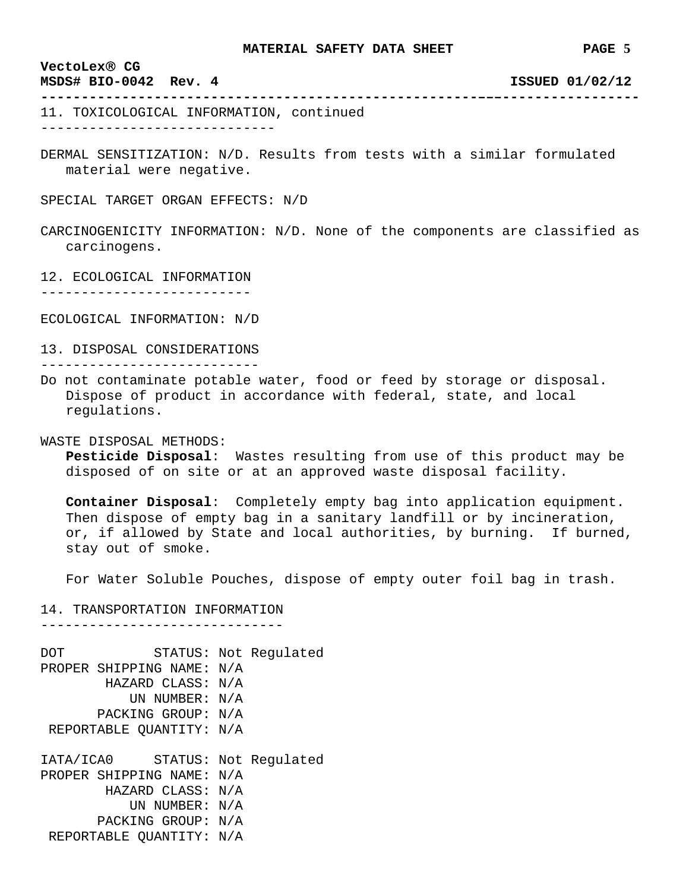**------------------------------------------------------–––-----------------**

## **VectoLex**® **CG**

**MSDS# BIO-0042 Rev. 4 ISSUED 01/02/12** 

11. TOXICOLOGICAL INFORMATION, continued -----------------------------

DERMAL SENSITIZATION: N/D. Results from tests with a similar formulated material were negative.

SPECIAL TARGET ORGAN EFFECTS: N/D

CARCINOGENICITY INFORMATION: N/D. None of the components are classified as carcinogens.

12. ECOLOGICAL INFORMATION

--------------------------

ECOLOGICAL INFORMATION: N/D

13. DISPOSAL CONSIDERATIONS ---------------------------

Do not contaminate potable water, food or feed by storage or disposal. Dispose of product in accordance with federal, state, and local regulations.

WASTE DISPOSAL METHODS:

**Pesticide Disposal**: Wastes resulting from use of this product may be disposed of on site or at an approved waste disposal facility.

**Container Disposal**: Completely empty bag into application equipment. Then dispose of empty bag in a sanitary landfill or by incineration, or, if allowed by State and local authorities, by burning. If burned, stay out of smoke.

For Water Soluble Pouches, dispose of empty outer foil bag in trash.

14. TRANSPORTATION INFORMATION ------------------------------

DOT STATUS: Not Regulated PROPER SHIPPING NAME: N/A HAZARD CLASS: N/A UN NUMBER: N/A PACKING GROUP: N/A REPORTABLE QUANTITY: N/A IATA/ICA0 STATUS: Not Regulated PROPER SHIPPING NAME: N/A HAZARD CLASS: N/A UN NUMBER: N/A PACKING GROUP: N/A REPORTABLE QUANTITY: N/A